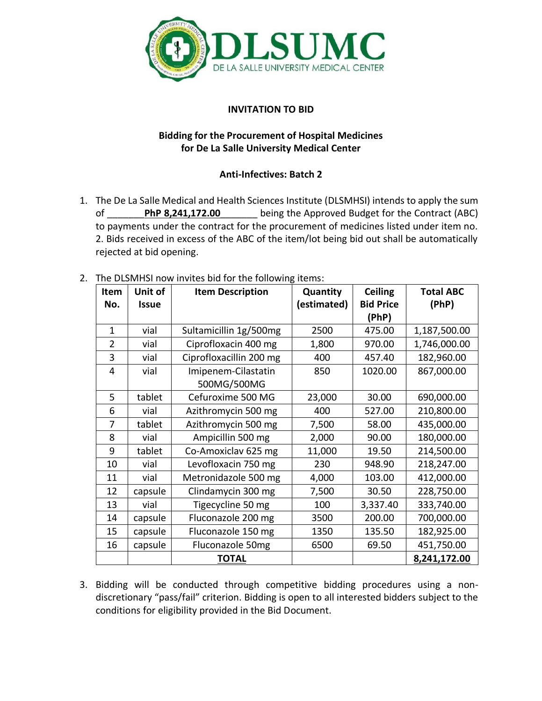

## **INVITATION TO BID**

## **Bidding for the Procurement of Hospital Medicines for De La Salle University Medical Center**

## **Anti-Infectives: Batch 2**

1. The De La Salle Medical and Health Sciences Institute (DLSMHSI) intends to apply the sum of \_\_\_\_\_\_\_**PhP 8,241,172.00**\_\_\_\_\_\_\_ being the Approved Budget for the Contract (ABC) to payments under the contract for the procurement of medicines listed under item no. 2. Bids received in excess of the ABC of the item/lot being bid out shall be automatically rejected at bid opening.

| Item           | Unit of      | <b>Item Description</b> | Quantity    | <b>Ceiling</b>   | <b>Total ABC</b> |
|----------------|--------------|-------------------------|-------------|------------------|------------------|
| No.            | <b>Issue</b> |                         | (estimated) | <b>Bid Price</b> | (PhP)            |
|                |              |                         |             | (PhP)            |                  |
| $\mathbf{1}$   | vial         | Sultamicillin 1g/500mg  | 2500        | 475.00           | 1,187,500.00     |
| $\overline{2}$ | vial         | Ciprofloxacin 400 mg    | 1,800       | 970.00           | 1,746,000.00     |
| 3              | vial         | Ciprofloxacillin 200 mg | 400         | 457.40           | 182,960.00       |
| 4              | vial         | Imipenem-Cilastatin     | 850         | 1020.00          | 867,000.00       |
|                |              | 500MG/500MG             |             |                  |                  |
| 5              | tablet       | Cefuroxime 500 MG       | 23,000      | 30.00            | 690,000.00       |
| 6              | vial         | Azithromycin 500 mg     | 400         | 527.00           | 210,800.00       |
| 7              | tablet       | Azithromycin 500 mg     | 7,500       | 58.00            | 435,000.00       |
| 8              | vial         | Ampicillin 500 mg       | 2,000       | 90.00            | 180,000.00       |
| 9              | tablet       | Co-Amoxiclav 625 mg     | 11,000      | 19.50            | 214,500.00       |
| 10             | vial         | Levofloxacin 750 mg     | 230         | 948.90           | 218,247.00       |
| 11             | vial         | Metronidazole 500 mg    | 4,000       | 103.00           | 412,000.00       |
| 12             | capsule      | Clindamycin 300 mg      | 7,500       | 30.50            | 228,750.00       |
| 13             | vial         | Tigecycline 50 mg       | 100         | 3,337.40         | 333,740.00       |
| 14             | capsule      | Fluconazole 200 mg      | 3500        | 200.00           | 700,000.00       |
| 15             | capsule      | Fluconazole 150 mg      | 1350        | 135.50           | 182,925.00       |
| 16             | capsule      | Fluconazole 50mg        | 6500        | 69.50            | 451,750.00       |
|                |              | <b>TOTAL</b>            |             |                  | 8,241,172.00     |

2. The DLSMHSI now invites bid for the following items:

3. Bidding will be conducted through competitive bidding procedures using a nondiscretionary "pass/fail" criterion. Bidding is open to all interested bidders subject to the conditions for eligibility provided in the Bid Document.